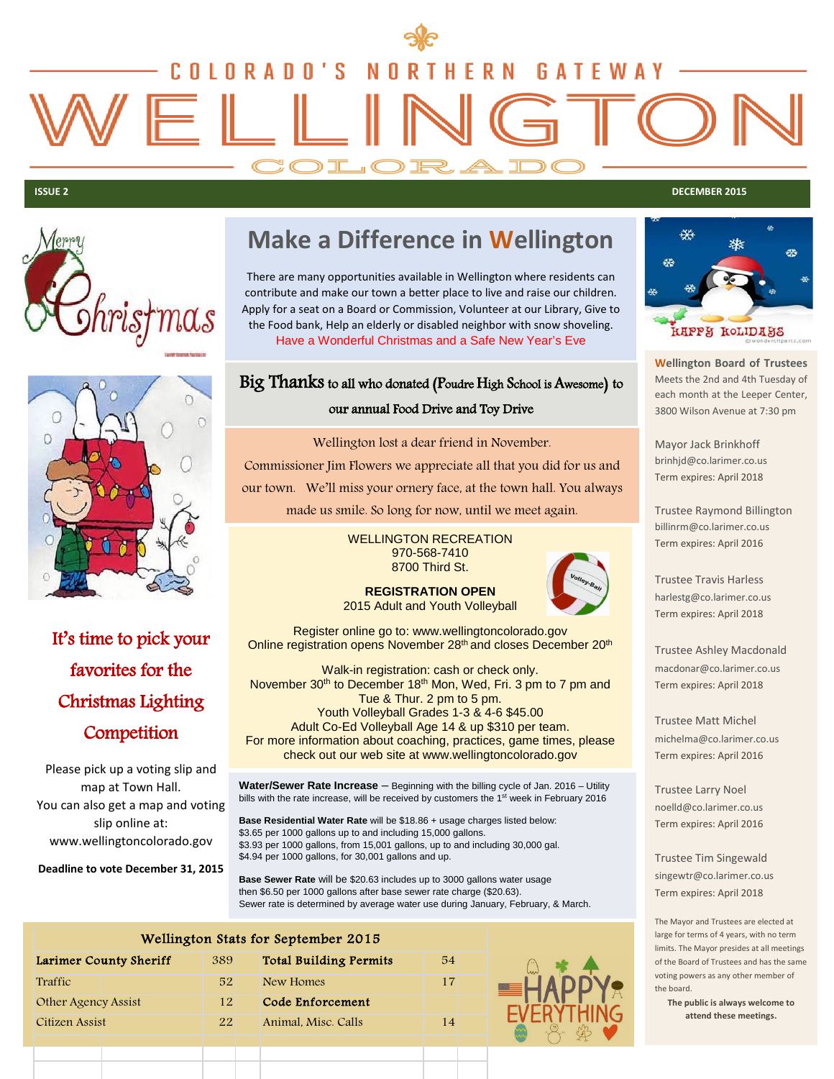

**ISSUE 2 DECEMBER 2015**





It's time to pick your favorites for the Christmas Lighting **Competition** 

Please pick up a voting slip and map at Town Hall. You can also get a map and voting slip online at: www.wellingtoncolorado.gov

**Deadline to vote December 31, 2015**

## **Make a Difference in Wellington**

There are many opportunities available in Wellington where residents can contribute and make our town a better place to live and raise our children. Apply for a seat on a Board or Commission, Volunteer at our Library, Give to the Food bank, Help an elderly or disabled neighbor with snow shoveling. Have a Wonderful Christmas and a Safe New Year's Eve

### Big Thanks to all who donated (Poudre High School is Awesome) to our annual Food Drive and Toy Drive

Wellington lost a dear friend in November. Commissioner Jim Flowers we appreciate all that you did for us and our town. We'll miss your ornery face, at the town hall. You always made us smile. So long for now, until we meet again.

> WELLINGTON RECREATION 970-568-7410 8700 Third St.



**REGISTRATION OPEN**  2015 Adult and Youth Volleyball

Register online go to: www.wellingtoncolorado.gov Online registration opens November 28<sup>th</sup> and closes December 20<sup>th</sup>

Walk-in registration: cash or check only. November 30<sup>th</sup> to December 18<sup>th</sup> Mon, Wed, Fri. 3 pm to 7 pm and Tue & Thur. 2 pm to 5 pm. Youth Volleyball Grades 1-3 & 4-6 \$45.00 Adult Co-Ed Volleyball Age 14 & up \$310 per team. For more information about coaching, practices, game times, please check out our web site at www.wellingtoncolorado.gov

**Water/Sewer Rate Increase** – Beginning with the billing cycle of Jan. 2016 – Utility bills with the rate increase, will be received by customers the 1<sup>st</sup> week in February 2016

**Base Residential Water Rate** will be \$18.86 + usage charges listed below: \$3.65 per 1000 gallons up to and including 15,000 gallons. \$3.93 per 1000 gallons, from 15,001 gallons, up to and including 30,000 gal. \$4.94 per 1000 gallons, for 30,001 gallons and up.

**Base Sewer Rate** will be \$20.63 includes up to 3000 gallons water usage then \$6.50 per 1000 gallons after base sewer rate charge (\$20.63). Sewer rate is determined by average water use during January, February, & March.

| Wellington Stats for September 2015 |     |                               |    |  |
|-------------------------------------|-----|-------------------------------|----|--|
| Larimer County Sheriff              | 389 | <b>Total Building Permits</b> | 54 |  |
| Traffic                             | 52  | New Homes                     | 17 |  |
| Other Agency Assist                 | 12  | Code Enforcement              |    |  |
| Citizen Assist                      | 22  | Animal, Misc. Calls           | 14 |  |
|                                     |     |                               |    |  |



**Wellington Board of Trustees** Meets the 2nd and 4th Tuesday of each month at the Leeper Center, 3800 Wilson Avenue at 7:30 pm

Mayor Jack Brinkhoff brinhjd@co.larimer.co.us Term expires: April 2018

Trustee Raymond Billington billinrm@co.larimer.co.us Term expires: April 2016

Trustee Travis Harless harlestg@co.larimer.co.us Term expires: April 2018

Trustee Ashley Macdonald macdonar@co.larimer.co.us Term expires: April 2018

Trustee Matt Michel michelma@co.larimer.co.us Term expires: April 2016

Trustee Larry Noel noelld@co.larimer.co.us Term expires: April 2016

Trustee Tim Singewald singewtr@co.larimer.co.us Term expires: April 2018

The Mayor and Trustees are elected at large for terms of 4 years, with no term limits. The Mayor presides at all meetings of the Board of Trustees and has the same voting powers as any other member of the board.

**The public is always welcome to attend these meetings.**